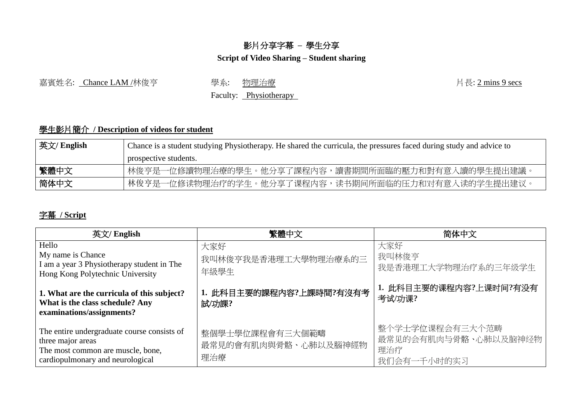## 影片分享字幕 **–** 學生分享

## **Script of Video Sharing – Student sharing**

嘉賓姓名: Chance LAM /林俊亨 學系: 物理治療 (1999) 1999年 1999年 10月長: 2 mins 9 secs

Faculty: Physiotherapy

## 學生影片簡介 **/ Description of videos for student**

| │ 英文/ English | Chance is a student studying Physiotherapy. He shared the curricula, the pressures faced during study and advice to |  |  |
|---------------|---------------------------------------------------------------------------------------------------------------------|--|--|
|               | prospective students.                                                                                               |  |  |
| 繁體中文          | 林俊亨是一位修讀物理治療的學生。他分享了課程內容,讀書期間所面臨的壓力和對有意入讀的學生提出建議。                                                                   |  |  |
| 简体中文          | 林俊亨是一位修读物理治疗的学生。他分享了课程内容,读书期间所面临的压力和对有意入读的学生提出建议。                                                                   |  |  |

## 字幕 **/ Script**

| 英文/ English                                                                                                                               | 繁體中文                                           | 简体中文                                                          |
|-------------------------------------------------------------------------------------------------------------------------------------------|------------------------------------------------|---------------------------------------------------------------|
| Hello<br>My name is Chance<br>I am a year 3 Physiotherapy student in The<br>Hong Kong Polytechnic University                              | 大家好<br>我叫林俊亨我是香港理工大學物理治療系的三<br>年級學生            | 大家好<br>我叫林俊亨<br>我是香港理工大学物理治疗系的三年级学生                           |
| 1. What are the curricula of this subject?<br>What is the class schedule? Any<br>examinations/assignments?                                | 1. 此科目主要的課程内容?上課時間?有沒有考<br>試/功課?               | 1. 此科目主要的课程内容?上课时间?有没有<br>考试/功课?                              |
| The entire undergraduate course consists of<br>three major areas<br>The most common are muscle, bone,<br>cardiopulmonary and neurological | 整個學士學位課程會有三大個範疇<br>最常見的會有肌肉與骨骼、心肺以及腦神經物<br>理治療 | 整个学士学位课程会有三大个范畴<br>最常见的会有肌肉与骨骼、心肺以及脑神经物<br>理治疗<br>我们会有一千小时的实习 |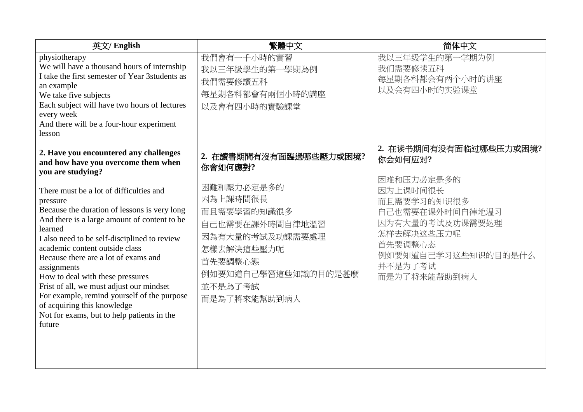| 英文/ English                                                                                                                                                                                                                                                                                                                                                                                                                                                                                                                                                                                                                         | 繁體中文                                                                                                                                                                                        | 简体中文                                                                                                                                                                                        |
|-------------------------------------------------------------------------------------------------------------------------------------------------------------------------------------------------------------------------------------------------------------------------------------------------------------------------------------------------------------------------------------------------------------------------------------------------------------------------------------------------------------------------------------------------------------------------------------------------------------------------------------|---------------------------------------------------------------------------------------------------------------------------------------------------------------------------------------------|---------------------------------------------------------------------------------------------------------------------------------------------------------------------------------------------|
| physiotherapy<br>We will have a thousand hours of internship<br>I take the first semester of Year 3students as<br>an example<br>We take five subjects<br>Each subject will have two hours of lectures<br>every week<br>And there will be a four-hour experiment<br>lesson                                                                                                                                                                                                                                                                                                                                                           | 我們會有一千小時的實習<br>我以三年級學生的第一學期為例<br>我們需要修讀五科<br>每星期各科都會有兩個小時的講座<br>以及會有四小時的實驗課堂                                                                                                                | 我以三年级学生的第一学期为例<br>我们需要修读五科<br>每星期各科都会有两个小时的讲座<br>以及会有四小时的实验课堂                                                                                                                               |
| 2. Have you encountered any challenges<br>and how have you overcome them when<br>you are studying?<br>There must be a lot of difficulties and<br>pressure<br>Because the duration of lessons is very long<br>And there is a large amount of content to be<br>learned<br>I also need to be self-disciplined to review<br>academic content outside class<br>Because there are a lot of exams and<br>assignments<br>How to deal with these pressures<br>Frist of all, we must adjust our mindset<br>For example, remind yourself of the purpose<br>of acquiring this knowledge<br>Not for exams, but to help patients in the<br>future | 2. 在讀書期間有沒有面臨過哪些壓力或困境?<br>你會如何應對?<br>困難和壓力必定是多的<br>因為上課時間很長<br>而且需要學習的知識很多<br>自己也需要在課外時間自律地溫習<br>因為有大量的考試及功課需要處理<br>怎樣去解決這些壓力呢<br>首先要調整心態<br>例如要知道自己學習這些知識的目的是甚麼<br>並不是為了考試<br>而是為了將來能幫助到病人 | 2. 在读书期间有没有面临过哪些压力或困境?<br>你会如何应对?<br>困难和压力必定是多的<br>因为上课时间很长<br>而且需要学习的知识很多<br>自己也需要在课外时间自律地温习<br>因为有大量的考试及功课需要处理<br>怎样去解决这些压力呢<br>首先要调整心态<br>例如要知道自己学习这些知识的目的是什么<br>并不是为了考试<br>而是为了将来能帮助到病人 |